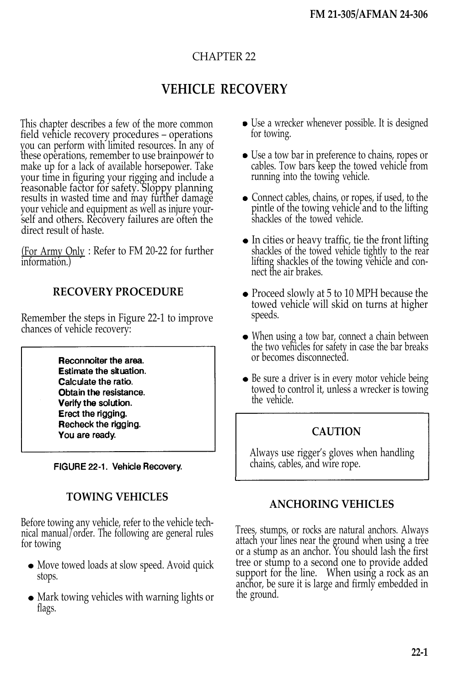# CHAPTER 22

# **VEHICLE RECOVERY**

This chapter describes a few of the more common field vehicle recovery procedures – operations you can perform with limited resources. In any of these operations, remember to use brainpower to make up for a lack of available horsepower. Take your time in figuring your rigging and include a reasonable factor for safety. Sloppy planning results in wasted time and may further damage your vehicle and equipment as well as injure yourself and others. Recovery failures are often the direct result of haste.

(For Army Only : Refer to FM 20-22 for further information.)

#### **RECOVERY PROCEDURE**

Remember the steps in Figure 22-1 to improve chances of vehicle recovery:

> Reconnoiter the area. Estimate the situation. Calculate the ratio. Obtain the resistance. Verify the solution. Erect the rigging. Recheck the rigging. You are ready.

FIGURE 22-1. Vehicle Recovery.

# **TOWING VEHICLES**

Before towing any vehicle, refer to the vehicle technical manual/order. The following are general rules for towing

- Move towed loads at slow speed. Avoid quick stops.
- Mark towing vehicles with warning lights or flags.
- Use a wrecker whenever possible. It is designed for towing.
- Use a tow bar in preference to chains, ropes or cables. Tow bars keep the towed vehicle from running into the towing vehicle.
- Connect cables, chains, or ropes, if used, to the pintle of the towing vehicle and to the lifting shackles of the towed vehicle.
- $\bullet$  In cities or heavy traffic, tie the front lifting shackles of the towed vehicle tightly to the rear lifting shackles of the towing vehicle and connect the air brakes.
- Proceed slowly at 5 to 10 MPH because the towed vehicle will skid on turns at higher speeds.
- When using a tow bar, connect a chain between the two vehicles for safety in case the bar breaks or becomes disconnected.
- Be sure a driver is in every motor vehicle being towed to control it, unless a wrecker is towing the vehicle.

#### **CAUTION**

Always use rigger's gloves when handling chains, cables, and wire rope.

# **ANCHORING VEHICLES**

Trees, stumps, or rocks are natural anchors. Always attach your lines near the ground when using a tree or a stump as an anchor. You should lash the first tree or stump to a second one to provide added support for the line. When using a rock as an anchor, be sure it is large and firmly embedded in the ground.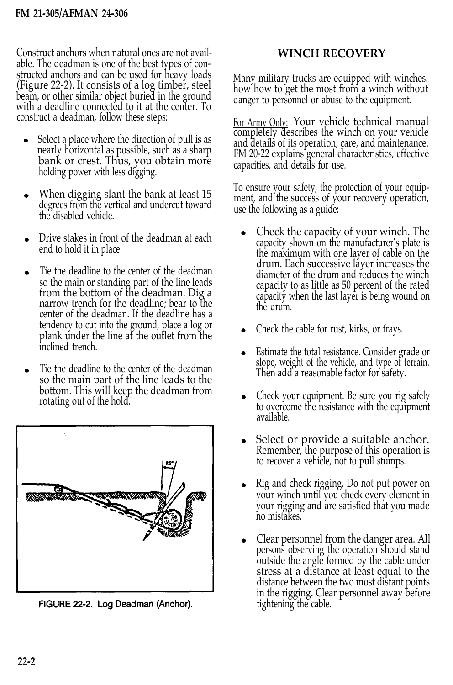Construct anchors when natural ones are not available. The deadman is one of the best types of constructed anchors and can be used for heavy loads (Figure 22-2). It consists of a log timber, steel beam, or other similar object buried in the ground with a deadline connectéd to it at the center. To construct a deadman, follow these steps:

- Select a place where the direction of pull is as nearly horizontal as possible, such as a sharp bank or crest. Thus, you obtain more holding power with less digging.
- When digging slant the bank at least 15 degrees from the vertical and undercut toward the disabled vehicle.
- Drive stakes in front of the deadman at each end to hold it in place.
- Tie the deadline to the center of the deadman so the main or standing part of the line leads from the bottom of the deadman. Dig a narrow trench for the deadline; bear to the center of the deadman. If the deadline has a tendency to cut into the ground, place a log or plank under the line at the outlet from the inclined trench.
- Tie the deadline to the center of the deadman so the main part of the line leads to the bottom. This will keep the deadman from rotating out of the hold.



FIGURE 22-2. Log Deadman (Anchor).

# **WINCH RECOVERY**

Many military trucks are equipped with winches. how how to get the most from a winch without danger to personnel or abuse to the equipment.

For Army Only: Your vehicle technical manual completely describes the winch on your vehicle and details of its operation, care, and maintenance. FM 20-22 explains general characteristics, effective capacities, and details for use.

To ensure your safety, the protection of your equipment, and the success of your recovery operation, use the following as a guide:

- Check the capacity of your winch. The capacity shown on the manufacturer's plate is the maximum with one layer of cable on the drum. Each successive layer increases the diameter of the drum and reduces the winch capacity to as little as 50 percent of the rated capacity when the last layer is being wound on the drum.
- Check the cable for rust, kirks, or frays.
- Estimate the total resistance. Consider grade or slope, weight of the vehicle, and type of terrain. Then add a reasonable factor for safety.
- Check your equipment. Be sure you rig safely to overcome the resistance with the equipment available.
- Select or provide a suitable anchor. Remember, the purpose of this operation is to recover a vehicle, not to pull stumps.
- Rig and check rigging. Do not put power on your winch until you check every element in your rigging and are satisfied that you made no mistakes.
- Clear personnel from the danger area. All persons observing the operation should stand outside the angle formed by the cable under stress at a distance at least equal to the distance between the two most distant points in the rigging. Clear personnel away before tightening the cable.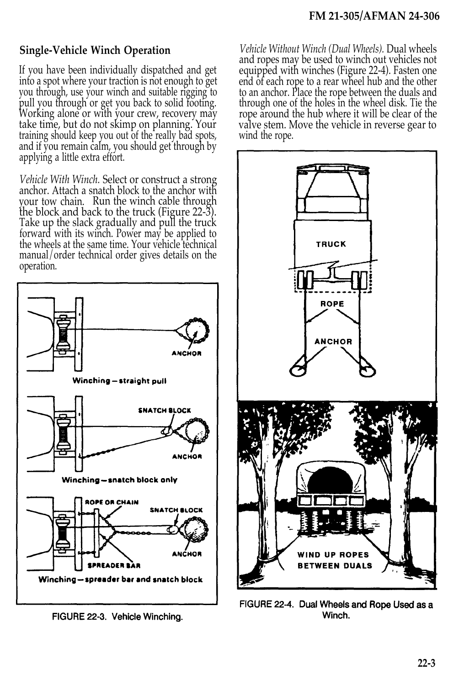# **Single-Vehicle Winch Operation**

If you have been individually dispatched and get into a spot where your traction is not enough to get you through, use your winch and suitable rigging to pull you through or get you back to solid footing. Working alone or with your crew, recovery may take time, but do not skimp on planning. Your training should keep you out of the really bad spots, and if you remain calm, you should get through by applying a little extra effort.

*Vehicle With Winch.* Select or construct a strong anchor. Attach a snatch block to the anchor with your tow chain. Run the winch cable through the block and back to the truck (Figure 22-3). Take up the slack gradually and pull the truck forward with its winch. Power may be applied to the wheels at the same time. Your vehicle technical manual/order technical order gives details on the operation.



FIGURE 22-3. Vehicle Winching.

*Vehicle Without Winch (Dual Wheels).* Dual wheels and ropes may be used to winch out vehicles not equipped with winches (Figure 22-4). Fasten one end of each rope to a rear wheel hub and the other to an anchor. Place the rope between the duals and through one of the holes in the wheel disk. Tie the rope around the hub where it will be clear of the valve stem. Move the vehicle in reverse gear to wind the rope.



FIGURE 22-4. Dual Wheels and Rope Used as a Winch.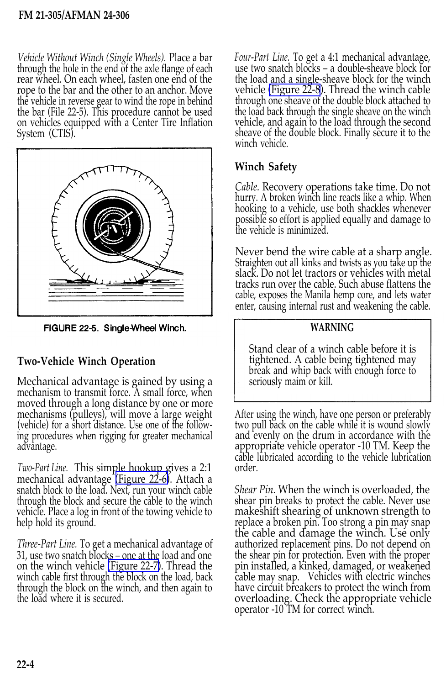#### **FM 21-305/AFMAN 24-306**

*Vehicle Without Winch (Single Wheels).* Place a bar through the hole in the end of the axle flange of each rear wheel. On each wheel, fasten one end of the rope to the bar and the other to an anchor. Move the vehicle in reverse gear to wind the rope in behind the bar (File 22-5). This procedure cannot be used on vehicles equipped with a Center Tire Inflation System (CTIS).



FIGURE 22-5. Single-Wheel Winch.

### **Two-Vehicle Winch Operation**

Mechanical advantage is gained by using a mechanism to transmit force. A small force, when moved through a long distance by one or more mechanisms (pulleys), will move a large weight (vehicle) for a short distance. Use one of the following procedures when rigging for greater mechanical advantage.

*Two-Part Line.* This simple hookup gives a 2:1 mechanical advantage [\(Figure 22-6\)](#page-4-0). Attach a snatch block to the load. Next, run your winch cable through the block and secure the cable to the winch vehicle. Place a log in front of the towing vehicle to help hold its ground.

*Three-Part Line.* To get a mechanical advantage of 31, use two snatch blocks – one at the load and one on the winch vehicle [\(Figure 22-7\)](#page-4-0). Thread the winch cable first through the block on the load, back through the block on the winch, and then again to the load where it is secured.

*Four-Part Line.* To get a 4:1 mechanical advantage, use two snatch blocks – a double-sheave block for the load and a single-sheave block for the winch vehicle [\(Figure 22-8](#page-4-0)). Thread the winch cable through one sheave of the double block attached to the load back through the single sheave on the winch vehicle, and again to the load through the second sheave of the double block. Finally secure it to the winch vehicle.

### **Winch Safety**

*Cable.* Recovery operations take time. Do not hurry. A broken winch line reacts like a whip. When hooking to a vehicle, use both shackles whenever possible so effort is applied equally and damage to the vehicle is minimized.

Never bend the wire cable at a sharp angle. Straighten out all kinks and twists as you take up the slack. Do not let tractors or vehicles with metal tracks run over the cable. Such abuse flattens the cable, exposes the Manila hemp core, and lets water enter, causing internal rust and weakening the cable.

#### **WARNING**

Stand clear of a winch cable before it is tightened. A cable being tightened may break and whip back with enough force to seriously maim or kill.

After using the winch, have one person or preferably two pull back on the cable while it is wound slowly and evenly on the drum in accordance with the appropriate vehicle operator -10 TM. Keep the cable lubricated according to the vehicle lubrication order.

*Shear Pin.* When the winch is overloaded, the shear pin breaks to protect the cable. Never use makeshift shearing of unknown strength to replace a broken pin. Too strong a pin may snap the cable and damage the winch. Use only authorized replacement pins. Do not depend on the shear pin for protection. Even with the proper pin installed, a kinked, damaged, or weakened cable may snap. Vehicles with electric winches have circuit breakers to protect the winch from overloading. Check the appropriate vehicle operator -10 TM for correct winch.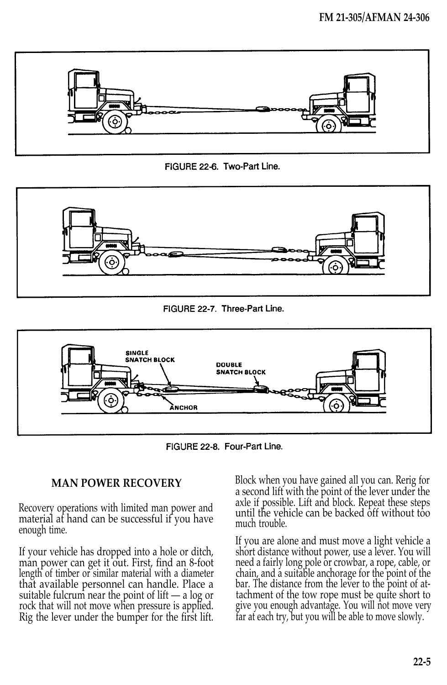

FIGURE 22-6. Two-Part Line.





FIGURE 22-8. Four-Part Line.

#### **MAN POWER RECOVERY**

Recovery operations with limited man power and material at hand can be successful if you have enough time.

<span id="page-4-0"></span>If your vehicle has dropped into a hole or ditch, man power can get it out. First, find an 8-foot length of timber or similar material with a diameter that available personnel can handle. Place a suitable fulcrum near the point of lift — a log or rock that will not move when pressure is applied. Rig the lever under the bumper for the first lift.

Block when you have gained all you can. Rerig for a second lift with the point of the lever under the axle if possible. Lift and block. Repeat these steps until the vehicle can be backed off without too much trouble.

If you are alone and must move a light vehicle a short distance without power, use a lever. You will need a fairly long pole or crowbar, a rope, cable, or chain, and a suitable anchorage for the point of the bar. The distance from the lever to the point of attachment of the tow rope must be quite short to give you enough advantage. You will not move very far at each try, but you will be able to move slowly.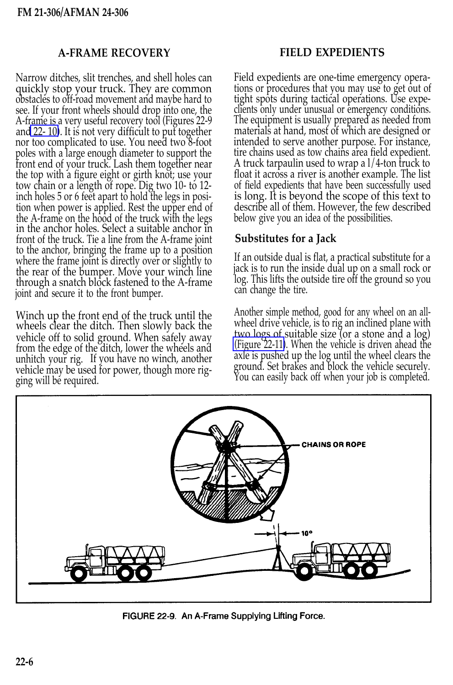#### **A-FRAME RECOVERY FIELD EXPEDIENTS**

Narrow ditches, slit trenches, and shell holes can quickly stop your truck. They are common obstacles to off-road movement and maybe hard to see. If your front wheels should drop into one, the A-frame is a very useful recovery tool (Figures 22-9 an[d 22- 10\)](#page-6-0). It is not very difficult to put together nor too complicated to use. You need two 8-foot poles with a large enough diameter to support the front end of your truck. Lash them together near the top with a figure eight or girth knot; use your tow chain or a length of rope. Dig two 10- to 12 inch holes 5 or 6 feet apart to hold the legs in position when power is applied. Rest the upper end of the A-frame on the hood of the truck with the legs in the anchor holes. Select a suitable anchor in front of the truck. Tie a line from the A-frame joint to the anchor, bringing the frame up to a position where the frame joint is directly over or slightly to the rear of the bumper. Move your winch line through a snatch block fastened to the A-frame joint and secure it to the front bumper.

Winch up the front end of the truck until the wheels clear the ditch. Then slowly back the vehicle off to solid ground. When safely away from the edge of the ditch, lower the wheels and unhitch your rig. If you have no winch, another vehicle may be used for power, though more rigging will be required.

Field expedients are one-time emergency operations or procedures that you may use to get out of tight spots during tactical operations. Use expeclients only under unusual or emergency conditions. The equipment is usually prepared as needed from materials at hand, most of which are designed or intended to serve another purpose. For instance, tire chains used as tow chains area field expedient. A truck tarpaulin used to wrap a l/4-ton truck to float it across a river is another example. The list of field expedients that have been successfully used is long. It is beyond the scope of this text to describe all of them. However, the few described below give you an idea of the possibilities.

#### **Substitutes for a Jack**

If an outside dual is flat, a practical substitute for a jack is to run the inside dual up on a small rock or log. This lifts the outside tire off the ground so you can change the tire.

Another simple method, good for any wheel on an allwheel drive vehicle, is to rig an inclined plane with two logs of suitable size (or a stone and a log) [\(Figure 22-11\)](#page-6-0). When the vehicle is driven ahead the axle is pushed up the log until the wheel clears the ground. Set brakes and block the vehicle securely. You can easily back off when your job is completed.



FIGURE 22-9. An A-Frame Supplying Lifting Force.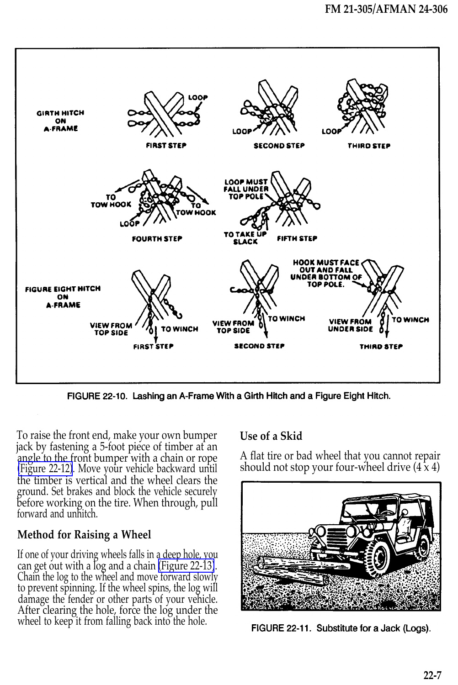

FIGURE 22-10. Lashing an A-Frame With a Girth Hitch and a Figure Eight Hitch.

To raise the front end, make your own bumper jack by fastening a 5-foot piece of timber at an angle to the front bumper with a chain or rope [\(Figure 22-12\)](#page-7-0). Move your vehicle backward until the timber is vertical and the wheel clears the ground. Set brakes and block the vehicle securely before working on the tire. When through, pull forward and unhitch.

#### **Method for Raising a Wheel**

<span id="page-6-0"></span>If one of your driving wheels falls in a deep hole, you can get out with a log and a chain [\(Figure 22-13\)](#page-7-0). Chain the log to the wheel and move forward slowly to prevent spinning. If the wheel spins, the log will damage the fender or other parts of your vehicle. After clearing the hole, force the log under the wheel to keep it from falling back into the hole.

#### **Use of a Skid**

A flat tire or bad wheel that you cannot repair should not stop your four-wheel drive  $(4 \times 4)$ 



FIGURE 22-11. Substitute for a Jack (Logs).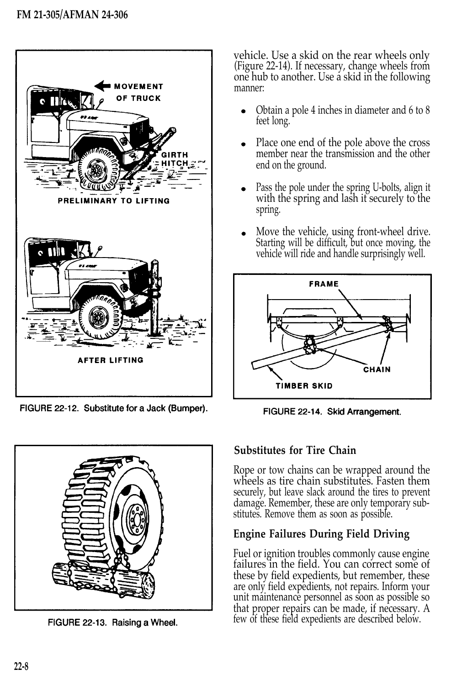

FIGURE 22-12. Substitute for a Jack (Bumper).

<span id="page-7-0"></span>

FIGURE 22-13. Raising a Wheel.

vehicle. Use a skid on the rear wheels only (Figure 22-14). If necessary, change wheels from one hub to another. Use a skid in the following manner:

- Obtain a pole 4 inches in diameter and 6 to 8 feet long.
- Place one end of the pole above the cross member near the transmission and the other end on the ground.
- Pass the pole under the spring U-bolts, align it with the spring and lash it securely to the spring.
- Move the vehicle, using front-wheel drive. Starting will be difficult, but once moving, the vehicle will ride and handle surprisingly well.



FIGURE 22-14. Skid Arrangement.

# **Substitutes for Tire Chain**

Rope or tow chains can be wrapped around the wheels as tire chain substitutes. Fasten them securely, but leave slack around the tires to prevent damage. Remember, these are only temporary substitutes. Remove them as soon as possible.

# **Engine Failures During Field Driving**

Fuel or ignition troubles commonly cause engine failures in the field. You can correct some of these by field expedients, but remember, these are only field expedients, not repairs. Inform your unit maintenance personnel as soon as possible so that proper repairs can be made, if necessary. A few of these field expedients are described below.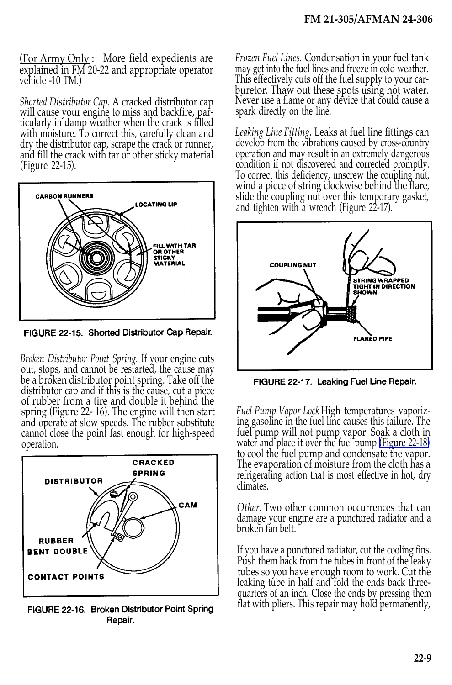(For Army Only : More field expedients are explained in FM 20-22 and appropriate operator vehicle -10 TM.)

*Shorted Distributor Cap.* A cracked distributor cap will cause your engine to miss and backfire, particularly in damp weather when the crack is filled with moisture. To correct this, carefully clean and dry the distributor cap, scrape the crack or runner, and fill the crack with tar or other sticky material (Figure 22-15).



FIGURE 22-15. Shorted Distributor Cap Repair.

*Broken Distributor Point Spring.* If your engine cuts out, stops, and cannot be restarted, the cause may be a broken distributor point spring. Take off the distributor cap and if this is the cause, cut a piece of rubber from a tire and double it behind the spring (Figure 22- 16). The engine will then start and operate at slow speeds. The rubber substitute cannot close the point fast enough for high-speed operation.



FIGURE 22-16. Broken Distributor Point Spring Repair.

*Frozen Fuel Lines.* Condensation in your fuel tank may get into the fuel lines and freeze in cold weather. This effectively cuts off the fuel supply to your carburetor. Thaw out these spots using hot water. Never use a flame or any device that could cause a spark directly on the line.

*Leaking Line Fitting.* Leaks at fuel line fittings can develop from the vibrations caused by cross-country operation and may result in an extremely dangerous condition if not discovered and corrected promptly. To correct this deficiency, unscrew the coupling nut, wind a piece of string clockwise behind the flare, slide the coupling nut over this temporary gasket, and tighten with a wrench (Figure 22-17).



FIGURE 22-17. Leaking Fuel Line Repair.

*Fuel Pump Vapor Lock* High temperatures vaporiz ing gasoline in the fuel line causes this failure. The fuel pump will not pump vapor. Soak a cloth in water and place it over the fuel pump [\(Figure 22-18\)](#page-9-0) to cool the fuel pump and condensate the vapor. The evaporation of moisture from the cloth has a refrigerating action that is most effective in hot, dry climates.

*Other.* Two other common occurrences that can damage your engine are a punctured radiator and a broken fan belt.

If you have a punctured radiator, cut the cooling fins. Push them back from the tubes in front of the leaky tubes so you have enough room to work. Cut the leaking tube in half and fold the ends back threequarters of an inch. Close the ends by pressing them flat with pliers. This repair may hold permanently,